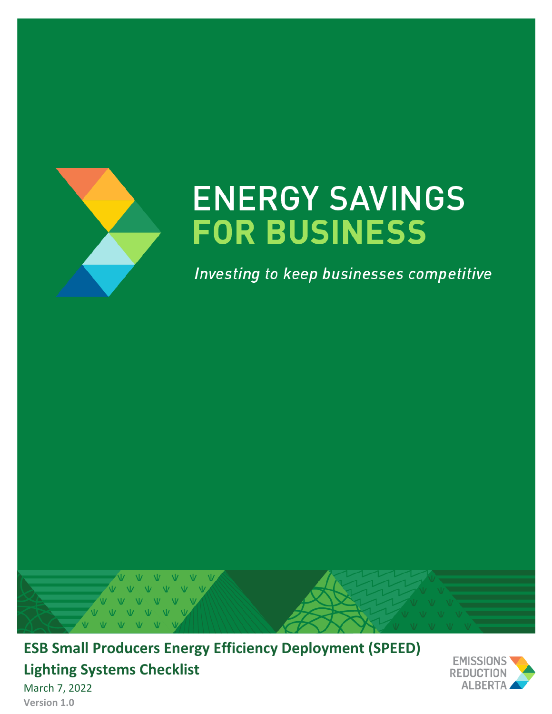

# **ENERGY SAVINGS FOR BUSINESS**

Investing to keep businesses competitive



**ESB Small Producers Energy Efficiency Deployment (SPEED) Lighting Systems Checklist** March 7, 2022



**Version 1.0**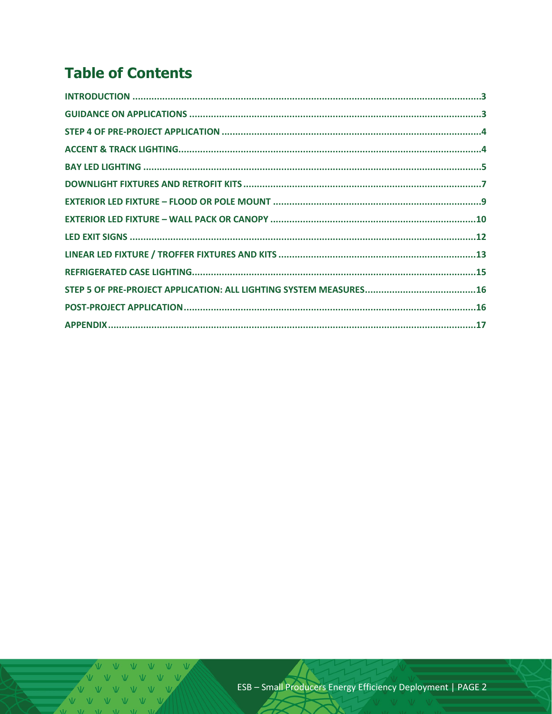# **Table of Contents**

V V V V V V V  $V$   $V$   $V$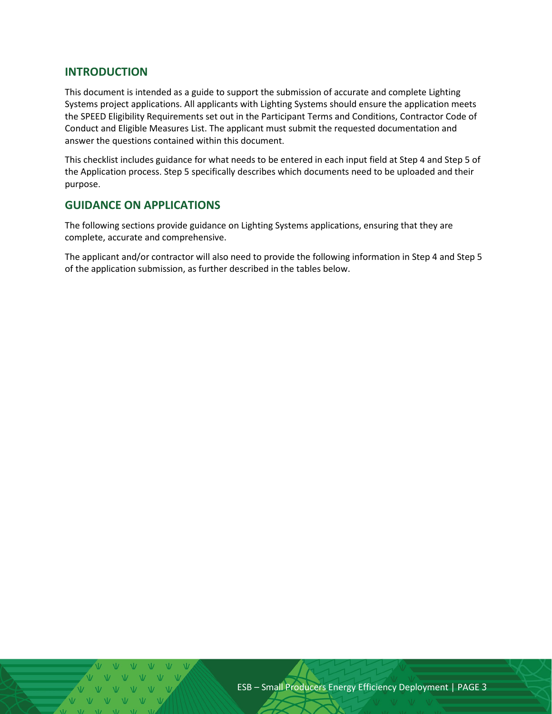#### <span id="page-2-0"></span>**INTRODUCTION**

This document is intended as a guide to support the submission of accurate and complete Lighting Systems project applications. All applicants with Lighting Systems should ensure the application meets the SPEED Eligibility Requirements set out in the Participant Terms and Conditions, Contractor Code of Conduct and Eligible Measures List. The applicant must submit the requested documentation and answer the questions contained within this document.

This checklist includes guidance for what needs to be entered in each input field at Step 4 and Step 5 of the Application process. Step 5 specifically describes which documents need to be uploaded and their purpose.

#### <span id="page-2-1"></span>**GUIDANCE ON APPLICATIONS**

The following sections provide guidance on Lighting Systems applications, ensuring that they are complete, accurate and comprehensive.

The applicant and/or contractor will also need to provide the following information in Step 4 and Step 5 of the application submission, as further described in the tables below.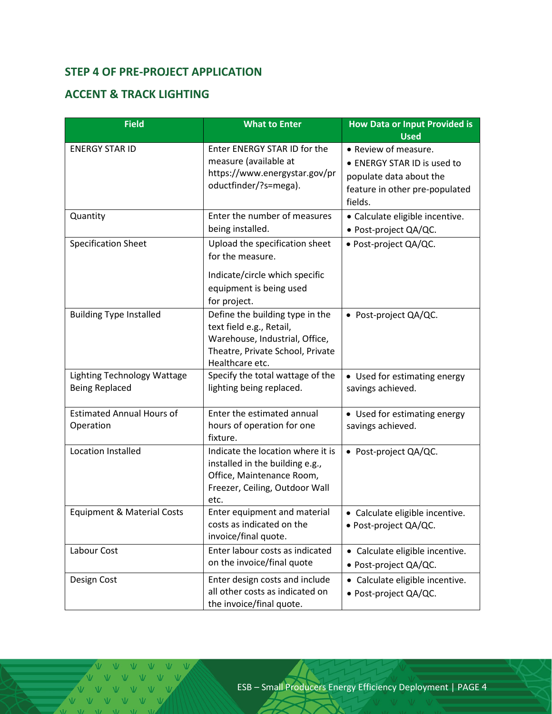# <span id="page-3-0"></span>**STEP 4 OF PRE-PROJECT APPLICATION**

#### <span id="page-3-1"></span>**ACCENT & TRACK LIGHTING**

| <b>Field</b>                                         | <b>What to Enter</b>                                                                                                                                 | <b>How Data or Input Provided is</b><br><b>Used</b>                                                                         |
|------------------------------------------------------|------------------------------------------------------------------------------------------------------------------------------------------------------|-----------------------------------------------------------------------------------------------------------------------------|
| <b>ENERGY STAR ID</b>                                | Enter ENERGY STAR ID for the<br>measure (available at<br>https://www.energystar.gov/pr<br>oductfinder/?s=mega).                                      | • Review of measure.<br>• ENERGY STAR ID is used to<br>populate data about the<br>feature in other pre-populated<br>fields. |
| Quantity                                             | Enter the number of measures<br>being installed.                                                                                                     | • Calculate eligible incentive.<br>· Post-project QA/QC.                                                                    |
| <b>Specification Sheet</b>                           | Upload the specification sheet<br>for the measure.<br>Indicate/circle which specific<br>equipment is being used<br>for project.                      | · Post-project QA/QC.                                                                                                       |
| <b>Building Type Installed</b>                       | Define the building type in the<br>text field e.g., Retail,<br>Warehouse, Industrial, Office,<br>Theatre, Private School, Private<br>Healthcare etc. | • Post-project QA/QC.                                                                                                       |
| Lighting Technology Wattage<br><b>Being Replaced</b> | Specify the total wattage of the<br>lighting being replaced.                                                                                         | • Used for estimating energy<br>savings achieved.                                                                           |
| <b>Estimated Annual Hours of</b><br>Operation        | Enter the estimated annual<br>hours of operation for one<br>fixture.                                                                                 | • Used for estimating energy<br>savings achieved.                                                                           |
| <b>Location Installed</b>                            | Indicate the location where it is<br>installed in the building e.g.,<br>Office, Maintenance Room,<br>Freezer, Ceiling, Outdoor Wall<br>etc.          | • Post-project QA/QC.                                                                                                       |
| <b>Equipment &amp; Material Costs</b>                | Enter equipment and material<br>costs as indicated on the<br>invoice/final quote.                                                                    | • Calculate eligible incentive.<br>· Post-project QA/QC.                                                                    |
| Labour Cost                                          | Enter labour costs as indicated<br>on the invoice/final quote                                                                                        | • Calculate eligible incentive.<br>· Post-project QA/QC.                                                                    |
| Design Cost                                          | Enter design costs and include<br>all other costs as indicated on<br>the invoice/final quote.                                                        | • Calculate eligible incentive.<br>· Post-project QA/QC.                                                                    |

VVVV  $\begin{array}{ccccccccccccccccc} \vee & \vee & \vee & \vee & \vee & \vee & \vee \end{array}$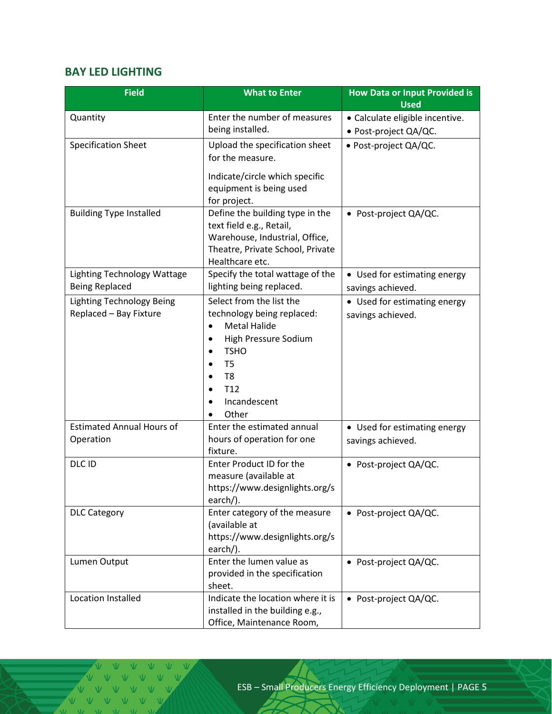### <span id="page-4-0"></span>**BAY LED LIGHTING**

| <b>Field</b>                                         | <b>What to Enter</b>                                                                                                                                                                                              | <b>How Data or Input Provided is</b><br><b>Used</b> |
|------------------------------------------------------|-------------------------------------------------------------------------------------------------------------------------------------------------------------------------------------------------------------------|-----------------------------------------------------|
| Quantity                                             | Enter the number of measures                                                                                                                                                                                      | · Calculate eligible incentive.                     |
|                                                      | being installed.                                                                                                                                                                                                  | · Post-project QA/QC.                               |
| <b>Specification Sheet</b>                           | Upload the specification sheet<br>for the measure.                                                                                                                                                                | · Post-project QA/QC.                               |
|                                                      | Indicate/circle which specific<br>equipment is being used<br>for project.                                                                                                                                         |                                                     |
| <b>Building Type Installed</b>                       | Define the building type in the<br>text field e.g., Retail,<br>Warehouse, Industrial, Office,<br>Theatre, Private School, Private<br>Healthcare etc.                                                              | • Post-project QA/QC.                               |
| Lighting Technology Wattage<br><b>Being Replaced</b> | Specify the total wattage of the<br>lighting being replaced.                                                                                                                                                      | • Used for estimating energy<br>savings achieved.   |
| Lighting Technology Being<br>Replaced - Bay Fixture  | Select from the list the<br>technology being replaced:<br><b>Metal Halide</b><br>$\bullet$<br>High Pressure Sodium<br><b>TSHO</b><br>T <sub>5</sub><br>T <sub>8</sub><br>T <sub>12</sub><br>Incandescent<br>Other | • Used for estimating energy<br>savings achieved.   |
| <b>Estimated Annual Hours of</b><br>Operation        | Enter the estimated annual<br>hours of operation for one<br>fixture.                                                                                                                                              | • Used for estimating energy<br>savings achieved.   |
| DLC ID                                               | Enter Product ID for the<br>measure (available at<br>https://www.designlights.org/s<br>earch $/$ ).                                                                                                               | • Post-project QA/QC.                               |
| <b>DLC Category</b>                                  | Enter category of the measure<br>(available at<br>https://www.designlights.org/s<br>earch/).                                                                                                                      | • Post-project QA/QC.                               |
| Lumen Output                                         | Enter the lumen value as<br>provided in the specification<br>sheet.                                                                                                                                               | • Post-project QA/QC.                               |
| Location Installed                                   | Indicate the location where it is<br>installed in the building e.g.,<br>Office, Maintenance Room,                                                                                                                 | • Post-project QA/QC.                               |

V V V V V V V V V V V V VVVV  $M = M$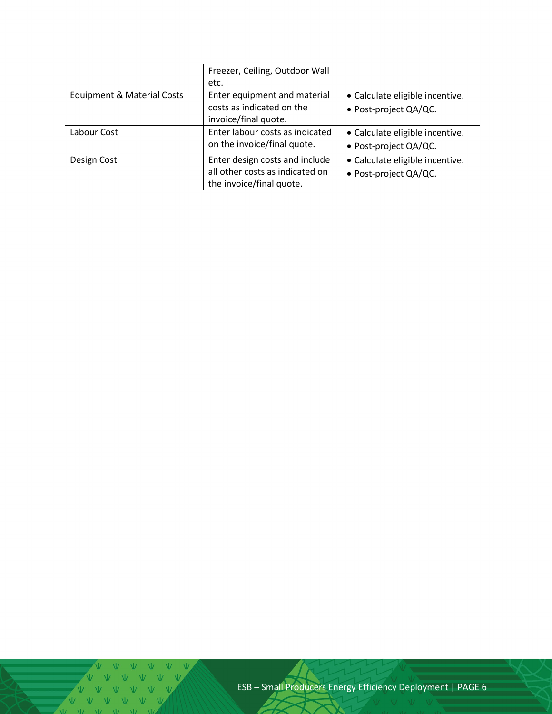|                                       | Freezer, Ceiling, Outdoor Wall  |                                 |
|---------------------------------------|---------------------------------|---------------------------------|
|                                       | etc.                            |                                 |
| <b>Equipment &amp; Material Costs</b> | Enter equipment and material    | • Calculate eligible incentive. |
|                                       | costs as indicated on the       | · Post-project QA/QC.           |
|                                       | invoice/final quote.            |                                 |
| Labour Cost                           | Enter labour costs as indicated | • Calculate eligible incentive. |
|                                       | on the invoice/final quote.     | · Post-project QA/QC.           |
| Design Cost                           | Enter design costs and include  | • Calculate eligible incentive. |
|                                       | all other costs as indicated on | · Post-project QA/QC.           |
|                                       | the invoice/final quote.        |                                 |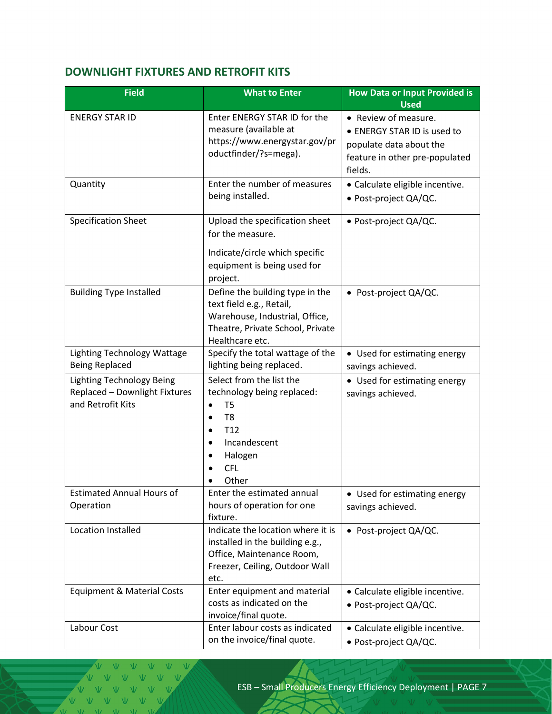# <span id="page-6-0"></span>**DOWNLIGHT FIXTURES AND RETROFIT KITS**

| <b>Field</b>                                                                           | <b>What to Enter</b>                                                                                                                                                                      | <b>How Data or Input Provided is</b><br><b>Used</b>                                                                         |
|----------------------------------------------------------------------------------------|-------------------------------------------------------------------------------------------------------------------------------------------------------------------------------------------|-----------------------------------------------------------------------------------------------------------------------------|
| <b>ENERGY STAR ID</b>                                                                  | Enter ENERGY STAR ID for the<br>measure (available at<br>https://www.energystar.gov/pr<br>oductfinder/?s=mega).                                                                           | • Review of measure.<br>• ENERGY STAR ID is used to<br>populate data about the<br>feature in other pre-populated<br>fields. |
| Quantity                                                                               | Enter the number of measures<br>being installed.                                                                                                                                          | • Calculate eligible incentive.<br>· Post-project QA/QC.                                                                    |
| <b>Specification Sheet</b>                                                             | Upload the specification sheet<br>for the measure.<br>Indicate/circle which specific<br>equipment is being used for<br>project.                                                           | • Post-project QA/QC.                                                                                                       |
| <b>Building Type Installed</b>                                                         | Define the building type in the<br>text field e.g., Retail,<br>Warehouse, Industrial, Office,<br>Theatre, Private School, Private<br>Healthcare etc.                                      | • Post-project QA/QC.                                                                                                       |
| Lighting Technology Wattage<br><b>Being Replaced</b>                                   | Specify the total wattage of the<br>lighting being replaced.                                                                                                                              | • Used for estimating energy<br>savings achieved.                                                                           |
| <b>Lighting Technology Being</b><br>Replaced - Downlight Fixtures<br>and Retrofit Kits | Select from the list the<br>technology being replaced:<br>T <sub>5</sub><br>T <sub>8</sub><br>T <sub>12</sub><br>$\bullet$<br>Incandescent<br>$\bullet$<br>Halogen<br><b>CFL</b><br>Other | • Used for estimating energy<br>savings achieved.                                                                           |
| <b>Estimated Annual Hours of</b><br>Operation                                          | Enter the estimated annual<br>hours of operation for one<br>fixture.                                                                                                                      | • Used for estimating energy<br>savings achieved.                                                                           |
| Location Installed                                                                     | Indicate the location where it is<br>installed in the building e.g.,<br>Office, Maintenance Room,<br>Freezer, Ceiling, Outdoor Wall<br>etc.                                               | • Post-project QA/QC.                                                                                                       |
| <b>Equipment &amp; Material Costs</b>                                                  | Enter equipment and material<br>costs as indicated on the<br>invoice/final quote.                                                                                                         | • Calculate eligible incentive.<br>· Post-project QA/QC.                                                                    |
| Labour Cost                                                                            | Enter labour costs as indicated<br>on the invoice/final quote.                                                                                                                            | • Calculate eligible incentive.<br>· Post-project QA/QC.                                                                    |

 $\vee$   $\vee$  $\overline{M}$ VVVVVV VVVVVV  $V$   $V$  $\overline{M}$ 

 $\overline{u}$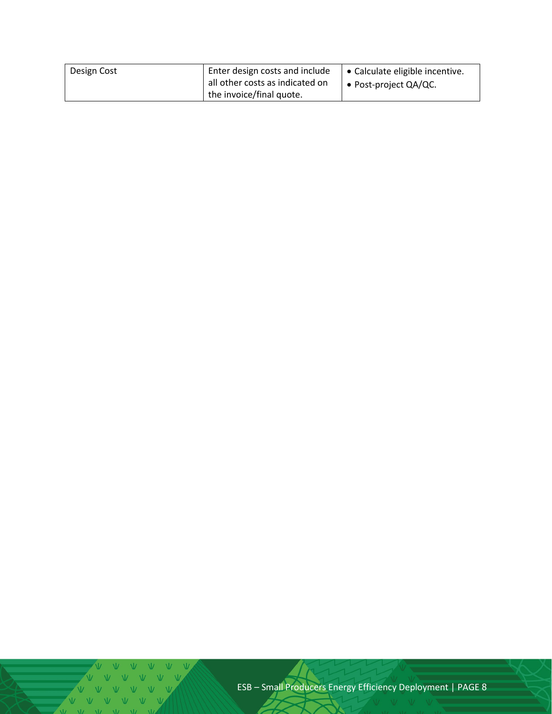| Design Cost | Enter design costs and include<br>all other costs as indicated on | Calculate eligible incentive.<br>• Post-project $QA/QC$ . |
|-------------|-------------------------------------------------------------------|-----------------------------------------------------------|
|             | the invoice/final quote.                                          |                                                           |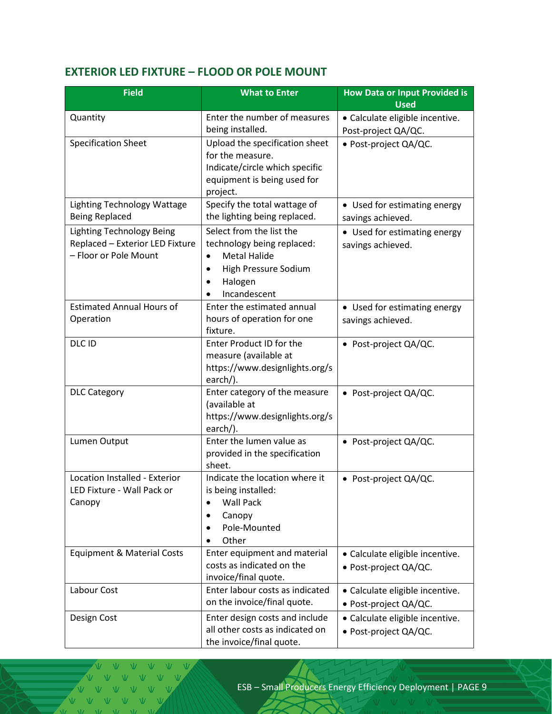# <span id="page-8-0"></span>**EXTERIOR LED FIXTURE – FLOOD OR POLE MOUNT**

| <b>Field</b>                                                                                 | <b>What to Enter</b>                                                                                                                                    | <b>How Data or Input Provided is</b><br><b>Used</b>      |
|----------------------------------------------------------------------------------------------|---------------------------------------------------------------------------------------------------------------------------------------------------------|----------------------------------------------------------|
| Quantity                                                                                     | Enter the number of measures<br>being installed.                                                                                                        | · Calculate eligible incentive.<br>Post-project QA/QC.   |
| <b>Specification Sheet</b>                                                                   | Upload the specification sheet<br>for the measure.<br>Indicate/circle which specific<br>equipment is being used for<br>project.                         | · Post-project QA/QC.                                    |
| <b>Lighting Technology Wattage</b><br><b>Being Replaced</b>                                  | Specify the total wattage of<br>the lighting being replaced.                                                                                            | • Used for estimating energy<br>savings achieved.        |
| <b>Lighting Technology Being</b><br>Replaced - Exterior LED Fixture<br>- Floor or Pole Mount | Select from the list the<br>technology being replaced:<br><b>Metal Halide</b><br>$\bullet$<br>High Pressure Sodium<br>٠<br>Halogen<br>٠<br>Incandescent | • Used for estimating energy<br>savings achieved.        |
| <b>Estimated Annual Hours of</b><br>Operation                                                | Enter the estimated annual<br>hours of operation for one<br>fixture.                                                                                    | • Used for estimating energy<br>savings achieved.        |
| DLC ID                                                                                       | Enter Product ID for the<br>measure (available at<br>https://www.designlights.org/s<br>earch/).                                                         | • Post-project QA/QC.                                    |
| <b>DLC Category</b>                                                                          | Enter category of the measure<br>(available at<br>https://www.designlights.org/s<br>earch/).                                                            | • Post-project QA/QC.                                    |
| Lumen Output                                                                                 | Enter the lumen value as<br>provided in the specification<br>sheet.                                                                                     | • Post-project QA/QC.                                    |
| Location Installed - Exterior<br>LED Fixture - Wall Pack or<br>Canopy                        | Indicate the location where it<br>is being installed:<br><b>Wall Pack</b><br>$\bullet$<br>Canopy<br>٠<br>Pole-Mounted<br>Other                          | • Post-project QA/QC.                                    |
| <b>Equipment &amp; Material Costs</b>                                                        | Enter equipment and material<br>costs as indicated on the<br>invoice/final quote.                                                                       | • Calculate eligible incentive.<br>· Post-project QA/QC. |
| Labour Cost                                                                                  | Enter labour costs as indicated<br>on the invoice/final quote.                                                                                          | · Calculate eligible incentive.<br>· Post-project QA/QC. |
| Design Cost                                                                                  | Enter design costs and include<br>all other costs as indicated on<br>the invoice/final quote.                                                           | · Calculate eligible incentive.<br>· Post-project QA/QC. |

 $\sqrt{11}$ VVVV  $V-V$ V V V V V  $V - W$ 

 $\overline{1}$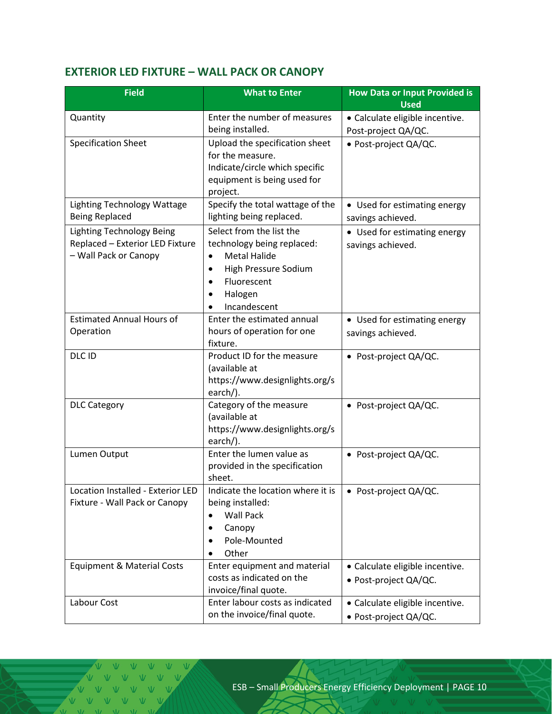# <span id="page-9-0"></span>**EXTERIOR LED FIXTURE – WALL PACK OR CANOPY**

| <b>Field</b>                                                                                 | <b>What to Enter</b>                                                                                                                                              | <b>How Data or Input Provided is</b><br><b>Used</b>      |
|----------------------------------------------------------------------------------------------|-------------------------------------------------------------------------------------------------------------------------------------------------------------------|----------------------------------------------------------|
| Quantity                                                                                     | Enter the number of measures<br>being installed.                                                                                                                  | · Calculate eligible incentive.<br>Post-project QA/QC.   |
| <b>Specification Sheet</b>                                                                   | Upload the specification sheet<br>for the measure.<br>Indicate/circle which specific<br>equipment is being used for<br>project.                                   | · Post-project QA/QC.                                    |
| Lighting Technology Wattage<br><b>Being Replaced</b>                                         | Specify the total wattage of the<br>lighting being replaced.                                                                                                      | • Used for estimating energy<br>savings achieved.        |
| <b>Lighting Technology Being</b><br>Replaced - Exterior LED Fixture<br>- Wall Pack or Canopy | Select from the list the<br>technology being replaced:<br><b>Metal Halide</b><br>$\bullet$<br>High Pressure Sodium<br>٠<br>Fluorescent<br>Halogen<br>Incandescent | • Used for estimating energy<br>savings achieved.        |
| <b>Estimated Annual Hours of</b><br>Operation                                                | Enter the estimated annual<br>hours of operation for one<br>fixture.                                                                                              | • Used for estimating energy<br>savings achieved.        |
| DLC ID                                                                                       | Product ID for the measure<br>(available at<br>https://www.designlights.org/s<br>$\text{earch/}$ ).                                                               | • Post-project QA/QC.                                    |
| <b>DLC Category</b>                                                                          | Category of the measure<br>(available at<br>https://www.designlights.org/s<br>earch/).                                                                            | • Post-project QA/QC.                                    |
| Lumen Output                                                                                 | Enter the lumen value as<br>provided in the specification<br>sheet.                                                                                               | • Post-project QA/QC.                                    |
| Location Installed - Exterior LED<br>Fixture - Wall Pack or Canopy                           | Indicate the location where it is<br>being installed:<br><b>Wall Pack</b><br>$\bullet$<br>Canopy<br>Pole-Mounted<br>Other                                         | • Post-project $QA/QC$ .                                 |
| <b>Equipment &amp; Material Costs</b>                                                        | Enter equipment and material<br>costs as indicated on the<br>invoice/final quote.                                                                                 | · Calculate eligible incentive.<br>• Post-project QA/QC. |
| Labour Cost                                                                                  | Enter labour costs as indicated<br>on the invoice/final quote.                                                                                                    | · Calculate eligible incentive.<br>· Post-project QA/QC. |

V V V VVVV  $V - W$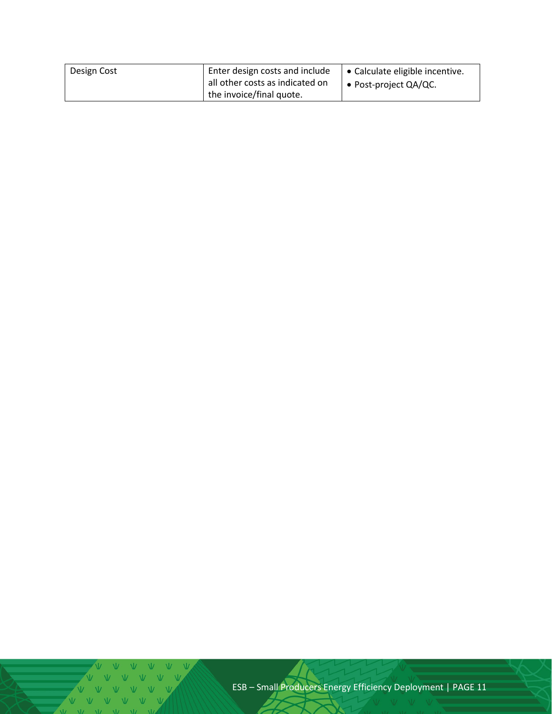| Design Cost | Enter design costs and include<br>all other costs as indicated on | Calculate eligible incentive.<br>• Post-project $QA/QC$ . |
|-------------|-------------------------------------------------------------------|-----------------------------------------------------------|
|             | the invoice/final quote.                                          |                                                           |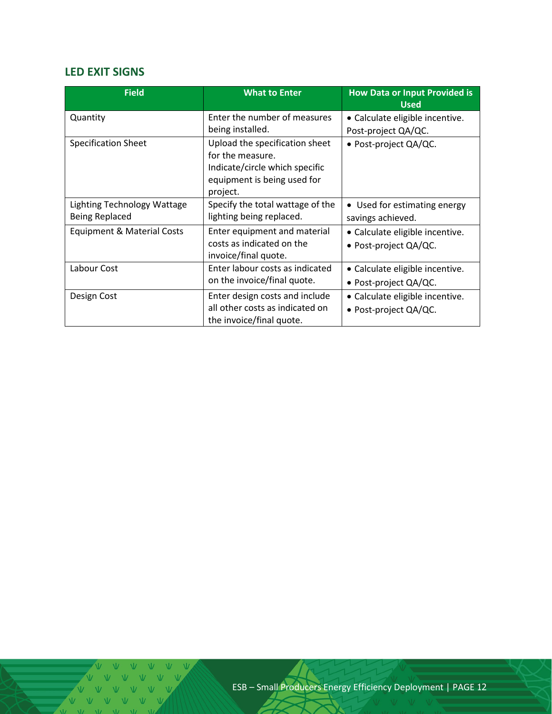### <span id="page-11-0"></span>**LED EXIT SIGNS**

| <b>Field</b>                | <b>What to Enter</b>                                          | <b>How Data or Input Provided is</b><br><b>Used</b> |
|-----------------------------|---------------------------------------------------------------|-----------------------------------------------------|
| Quantity                    | Enter the number of measures                                  | • Calculate eligible incentive.                     |
|                             | being installed.                                              | Post-project QA/QC.                                 |
| Specification Sheet         | Upload the specification sheet<br>for the measure.            | • Post-project QA/QC.                               |
|                             | Indicate/circle which specific<br>equipment is being used for |                                                     |
|                             | project.                                                      |                                                     |
| Lighting Technology Wattage | Specify the total wattage of the                              | • Used for estimating energy                        |
| <b>Being Replaced</b>       | lighting being replaced.                                      | savings achieved.                                   |
| Equipment & Material Costs  | Enter equipment and material                                  | • Calculate eligible incentive.                     |
|                             | costs as indicated on the<br>invoice/final quote.             | • Post-project QA/QC.                               |
| Labour Cost                 | Enter labour costs as indicated                               | • Calculate eligible incentive.                     |
|                             | on the invoice/final quote.                                   | • Post-project QA/QC.                               |
| Design Cost                 | Enter design costs and include                                | • Calculate eligible incentive.                     |
|                             | all other costs as indicated on<br>the invoice/final quote.   | • Post-project QA/QC.                               |

V V V V V V V  $\begin{array}{ccccccccccccc} \mathbf{V} & \mathbf{V} & \mathbf{V} & \mathbf{V} & \mathbf{V} \end{array}$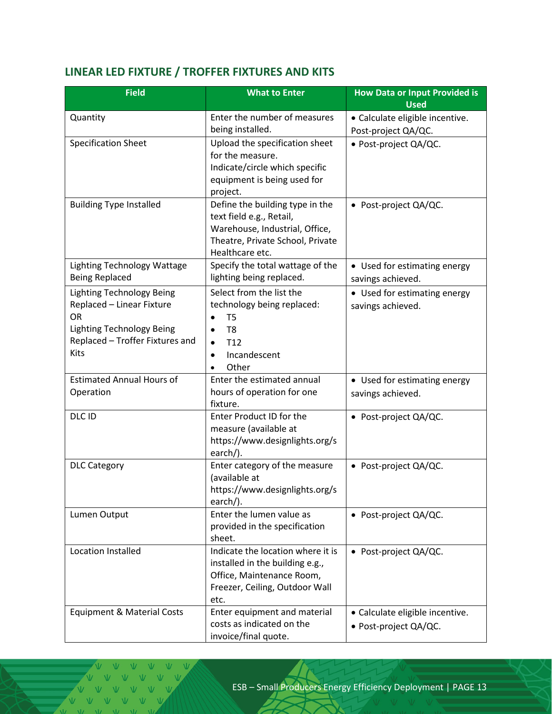# <span id="page-12-0"></span>**LINEAR LED FIXTURE / TROFFER FIXTURES AND KITS**

| <b>Field</b>                                         | <b>What to Enter</b>                                                                                                                                 | <b>How Data or Input Provided is</b><br><b>Used</b>      |
|------------------------------------------------------|------------------------------------------------------------------------------------------------------------------------------------------------------|----------------------------------------------------------|
| Quantity                                             | Enter the number of measures                                                                                                                         | · Calculate eligible incentive.                          |
|                                                      | being installed.                                                                                                                                     | Post-project QA/QC.                                      |
| <b>Specification Sheet</b>                           | Upload the specification sheet<br>for the measure.<br>Indicate/circle which specific<br>equipment is being used for<br>project.                      | · Post-project QA/QC.                                    |
| <b>Building Type Installed</b>                       | Define the building type in the<br>text field e.g., Retail,<br>Warehouse, Industrial, Office,<br>Theatre, Private School, Private<br>Healthcare etc. | • Post-project QA/QC.                                    |
| Lighting Technology Wattage<br><b>Being Replaced</b> | Specify the total wattage of the<br>lighting being replaced.                                                                                         | • Used for estimating energy<br>savings achieved.        |
| Lighting Technology Being                            | Select from the list the                                                                                                                             | • Used for estimating energy                             |
| Replaced - Linear Fixture<br><b>OR</b>               | technology being replaced:<br>T <sub>5</sub>                                                                                                         | savings achieved.                                        |
| <b>Lighting Technology Being</b>                     | T <sub>8</sub><br>$\bullet$                                                                                                                          |                                                          |
| Replaced - Troffer Fixtures and                      | T <sub>12</sub><br>$\bullet$                                                                                                                         |                                                          |
| Kits                                                 | Incandescent<br>$\bullet$                                                                                                                            |                                                          |
|                                                      | Other                                                                                                                                                |                                                          |
| <b>Estimated Annual Hours of</b>                     | Enter the estimated annual                                                                                                                           | • Used for estimating energy                             |
| Operation                                            | hours of operation for one<br>fixture.                                                                                                               | savings achieved.                                        |
| DLC ID                                               | Enter Product ID for the<br>measure (available at<br>https://www.designlights.org/s<br>earch/).                                                      | • Post-project QA/QC.                                    |
| <b>DLC Category</b>                                  | Enter category of the measure<br>(available at<br>https://www.designlights.org/s<br>earch/).                                                         | • Post-project QA/QC.                                    |
| Lumen Output                                         | Enter the lumen value as<br>provided in the specification<br>sheet.                                                                                  | • Post-project QA/QC.                                    |
| <b>Location Installed</b>                            | Indicate the location where it is<br>installed in the building e.g.,<br>Office, Maintenance Room,<br>Freezer, Ceiling, Outdoor Wall<br>etc.          | • Post-project QA/QC.                                    |
| <b>Equipment &amp; Material Costs</b>                | Enter equipment and material<br>costs as indicated on the<br>invoice/final quote.                                                                    | • Calculate eligible incentive.<br>· Post-project QA/QC. |

V V V VVVV  $V$   $V$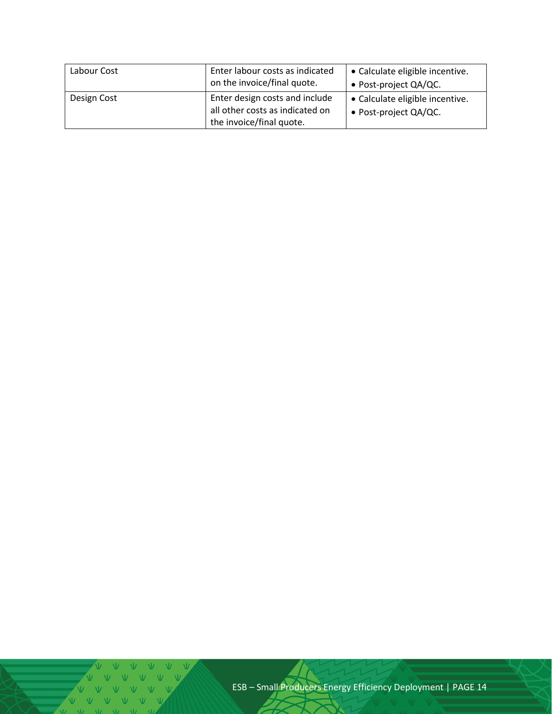| Labour Cost | Enter labour costs as indicated<br>on the invoice/final quote. | • Calculate eligible incentive.<br>• Post-project QA/QC. |
|-------------|----------------------------------------------------------------|----------------------------------------------------------|
| Design Cost | Enter design costs and include                                 | • Calculate eligible incentive.                          |
|             | all other costs as indicated on                                | • Post-project QA/QC.                                    |
|             | the invoice/final quote.                                       |                                                          |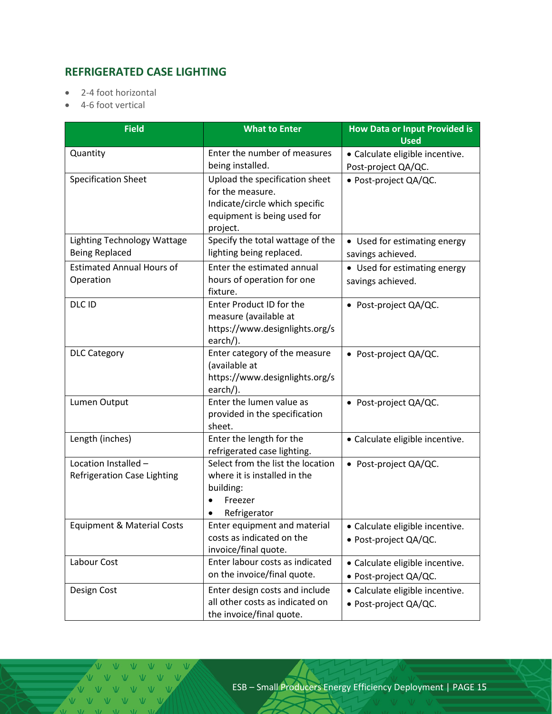# <span id="page-14-0"></span>**REFRIGERATED CASE LIGHTING**

- 2-4 foot horizontal
- 4-6 foot vertical

| <b>Field</b>                                         | <b>What to Enter</b>                                                                                                            | <b>How Data or Input Provided is</b><br><b>Used</b>      |  |  |
|------------------------------------------------------|---------------------------------------------------------------------------------------------------------------------------------|----------------------------------------------------------|--|--|
| Quantity                                             | Enter the number of measures<br>being installed.                                                                                | · Calculate eligible incentive.<br>Post-project QA/QC.   |  |  |
| <b>Specification Sheet</b>                           | Upload the specification sheet<br>for the measure.<br>Indicate/circle which specific<br>equipment is being used for<br>project. | · Post-project QA/QC.                                    |  |  |
| Lighting Technology Wattage<br><b>Being Replaced</b> | Specify the total wattage of the<br>lighting being replaced.                                                                    | • Used for estimating energy<br>savings achieved.        |  |  |
| <b>Estimated Annual Hours of</b><br>Operation        | Enter the estimated annual<br>hours of operation for one<br>fixture.                                                            | • Used for estimating energy<br>savings achieved.        |  |  |
| DLC ID                                               | Enter Product ID for the<br>measure (available at<br>https://www.designlights.org/s<br>earch/).                                 | • Post-project QA/QC.                                    |  |  |
| <b>DLC Category</b>                                  | Enter category of the measure<br>(available at<br>https://www.designlights.org/s<br>earch/).                                    | • Post-project QA/QC.                                    |  |  |
| Lumen Output                                         | Enter the lumen value as<br>provided in the specification<br>sheet.                                                             | • Post-project QA/QC.                                    |  |  |
| Length (inches)                                      | Enter the length for the<br>refrigerated case lighting.                                                                         | · Calculate eligible incentive.                          |  |  |
| Location Installed -<br>Refrigeration Case Lighting  | Select from the list the location<br>where it is installed in the<br>building:<br>Freezer<br>Refrigerator                       | • Post-project QA/QC.                                    |  |  |
| <b>Equipment &amp; Material Costs</b>                | Enter equipment and material<br>costs as indicated on the<br>invoice/final quote.                                               | · Calculate eligible incentive.<br>· Post-project QA/QC. |  |  |
| Labour Cost                                          | Enter labour costs as indicated<br>on the invoice/final quote.                                                                  | · Calculate eligible incentive.<br>· Post-project QA/QC. |  |  |
| Design Cost                                          | Enter design costs and include<br>all other costs as indicated on<br>the invoice/final quote.                                   | · Calculate eligible incentive.<br>· Post-project QA/QC. |  |  |

V V V V V V V V V V V V V  $NZ = NZ$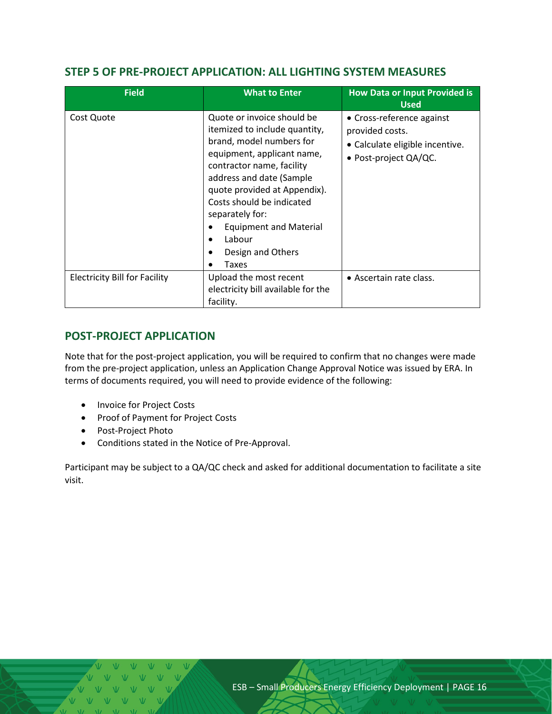#### <span id="page-15-0"></span>**STEP 5 OF PRE-PROJECT APPLICATION: ALL LIGHTING SYSTEM MEASURES**

| <b>Field</b>                         | <b>What to Enter</b>                                                                                                                                                                                                                                                                                                                                 | <b>How Data or Input Provided is</b><br><b>Used</b>                                                      |
|--------------------------------------|------------------------------------------------------------------------------------------------------------------------------------------------------------------------------------------------------------------------------------------------------------------------------------------------------------------------------------------------------|----------------------------------------------------------------------------------------------------------|
| Cost Quote                           | Quote or invoice should be<br>itemized to include quantity,<br>brand, model numbers for<br>equipment, applicant name,<br>contractor name, facility<br>address and date (Sample<br>quote provided at Appendix).<br>Costs should be indicated<br>separately for:<br><b>Equipment and Material</b><br>Labour<br>$\bullet$<br>Design and Others<br>Taxes | • Cross-reference against<br>provided costs.<br>• Calculate eligible incentive.<br>• Post-project QA/QC. |
| <b>Electricity Bill for Facility</b> | Upload the most recent<br>electricity bill available for the<br>facility.                                                                                                                                                                                                                                                                            | • Ascertain rate class.                                                                                  |

#### <span id="page-15-1"></span>**POST-PROJECT APPLICATION**

Note that for the post-project application, you will be required to confirm that no changes were made from the pre-project application, unless an Application Change Approval Notice was issued by ERA. In terms of documents required, you will need to provide evidence of the following:

- Invoice for Project Costs
- Proof of Payment for Project Costs
- Post-Project Photo
- Conditions stated in the Notice of Pre-Approval.

Participant may be subject to a QA/QC check and asked for additional documentation to facilitate a site visit.